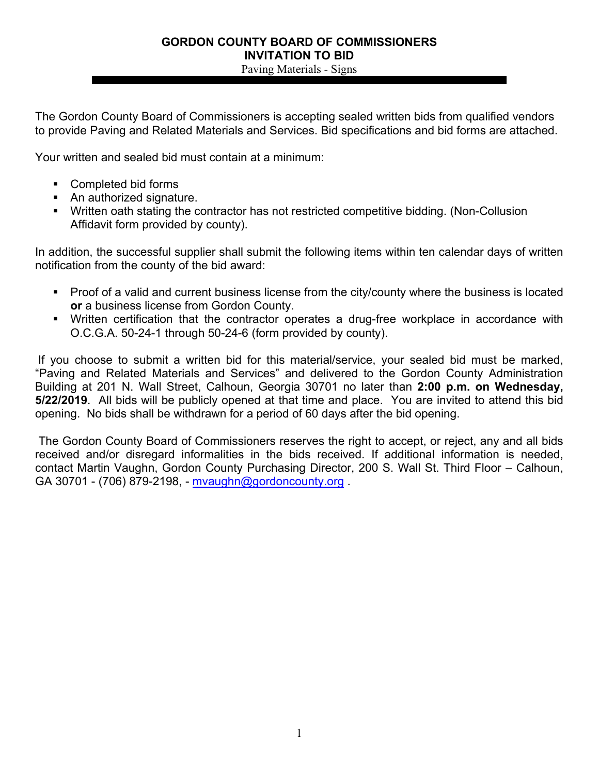Paving Materials - Signs

The Gordon County Board of Commissioners is accepting sealed written bids from qualified vendors to provide Paving and Related Materials and Services. Bid specifications and bid forms are attached.

Your written and sealed bid must contain at a minimum:

- Completed bid forms
- An authorized signature.
- Written oath stating the contractor has not restricted competitive bidding. (Non-Collusion Affidavit form provided by county).

In addition, the successful supplier shall submit the following items within ten calendar days of written notification from the county of the bid award:

- Proof of a valid and current business license from the city/county where the business is located **or** a business license from Gordon County.
- Written certification that the contractor operates a drug-free workplace in accordance with O.C.G.A. 50-24-1 through 50-24-6 (form provided by county).

If you choose to submit a written bid for this material/service, your sealed bid must be marked, "Paving and Related Materials and Services" and delivered to the Gordon County Administration Building at 201 N. Wall Street, Calhoun, Georgia 30701 no later than **2:00 p.m. on Wednesday, 5/22/2019**. All bids will be publicly opened at that time and place. You are invited to attend this bid opening. No bids shall be withdrawn for a period of 60 days after the bid opening.

 The Gordon County Board of Commissioners reserves the right to accept, or reject, any and all bids received and/or disregard informalities in the bids received. If additional information is needed, contact Martin Vaughn, Gordon County Purchasing Director, 200 S. Wall St. Third Floor – Calhoun, GA 30701 - (706) 879-2198, - mvaughn@gordoncounty.org .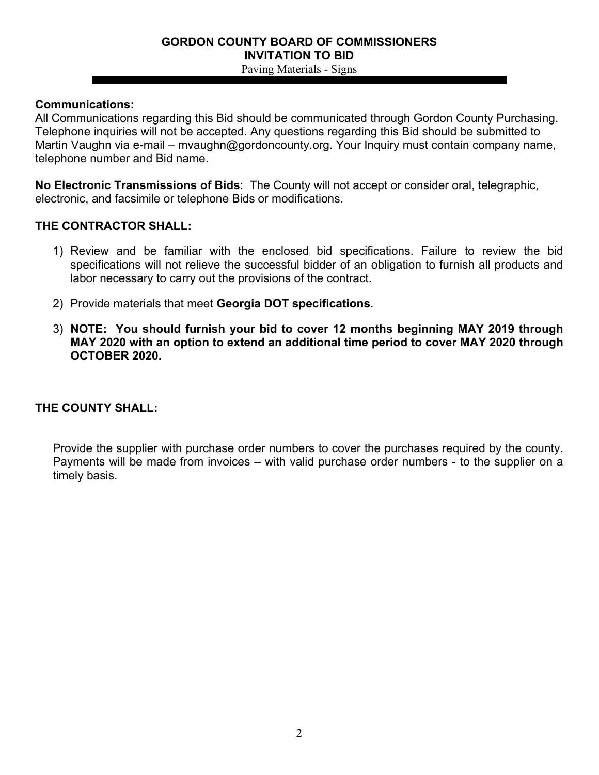Paving Materials - Signs

### **Communications:**

All Communications regarding this Bid should be communicated through Gordon County Purchasing. Telephone inquiries will not be accepted. Any questions regarding this Bid should be submitted to Martin Vaughn via e-mail – mvaughn@gordoncounty.org. Your Inquiry must contain company name, telephone number and Bid name.

**No Electronic Transmissions of Bids**: The County will not accept or consider oral, telegraphic, electronic, and facsimile or telephone Bids or modifications.

### **THE CONTRACTOR SHALL:**

- 1) Review and be familiar with the enclosed bid specifications. Failure to review the bid specifications will not relieve the successful bidder of an obligation to furnish all products and labor necessary to carry out the provisions of the contract.
- 2) Provide materials that meet **Georgia DOT specifications**.
- 3) **NOTE: You should furnish your bid to cover 12 months beginning MAY 2019 through MAY 2020 with an option to extend an additional time period to cover MAY 2020 through OCTOBER 2020.**

## **THE COUNTY SHALL:**

Provide the supplier with purchase order numbers to cover the purchases required by the county. Payments will be made from invoices – with valid purchase order numbers - to the supplier on a timely basis.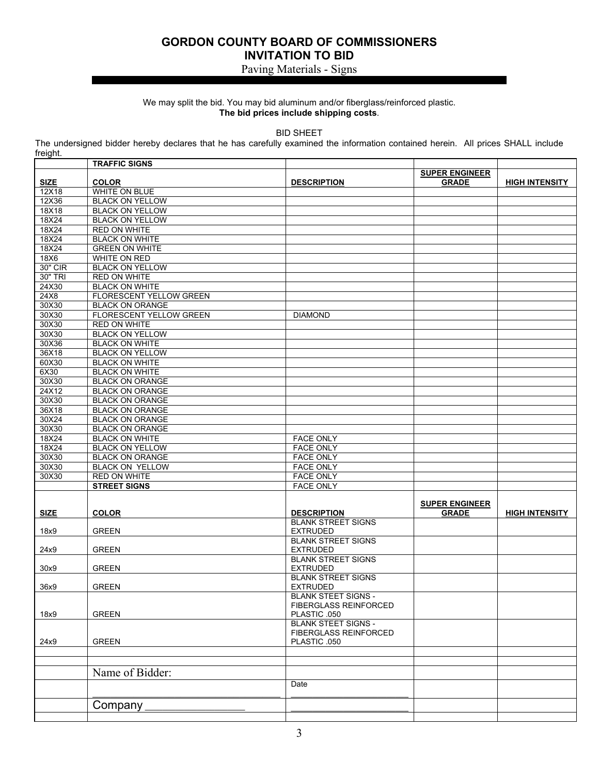### Paving Materials - Signs

### We may split the bid. You may bid aluminum and/or fiberglass/reinforced plastic. **The bid prices include shipping costs**.

BID SHEET

The undersigned bidder hereby declares that he has carefully examined the information contained herein. All prices SHALL include freight.

|             | <b>TRAFFIC SIGNS</b>           |                                              |                                       |                       |
|-------------|--------------------------------|----------------------------------------------|---------------------------------------|-----------------------|
| <b>SIZE</b> | <b>COLOR</b>                   | <b>DESCRIPTION</b>                           | <b>SUPER ENGINEER</b><br><b>GRADE</b> | <b>HIGH INTENSITY</b> |
| 12X18       | WHITE ON BLUE                  |                                              |                                       |                       |
| 12X36       | <b>BLACK ON YELLOW</b>         |                                              |                                       |                       |
| 18X18       | <b>BLACK ON YELLOW</b>         |                                              |                                       |                       |
| 18X24       | <b>BLACK ON YELLOW</b>         |                                              |                                       |                       |
| 18X24       | <b>RED ON WHITE</b>            |                                              |                                       |                       |
| 18X24       | <b>BLACK ON WHITE</b>          |                                              |                                       |                       |
| 18X24       | <b>GREEN ON WHITE</b>          |                                              |                                       |                       |
| 18X6        | <b>WHITE ON RED</b>            |                                              |                                       |                       |
| 30" CIR     | <b>BLACK ON YELLOW</b>         |                                              |                                       |                       |
| 30" TRI     | <b>RED ON WHITE</b>            |                                              |                                       |                       |
| 24X30       | <b>BLACK ON WHITE</b>          |                                              |                                       |                       |
| 24X8        | <b>FLORESCENT YELLOW GREEN</b> |                                              |                                       |                       |
| 30X30       | <b>BLACK ON ORANGE</b>         |                                              |                                       |                       |
| 30X30       | <b>FLORESCENT YELLOW GREEN</b> | <b>DIAMOND</b>                               |                                       |                       |
| 30X30       | <b>RED ON WHITE</b>            |                                              |                                       |                       |
| 30X30       | <b>BLACK ON YELLOW</b>         |                                              |                                       |                       |
| 30X36       | <b>BLACK ON WHITE</b>          |                                              |                                       |                       |
| 36X18       | <b>BLACK ON YELLOW</b>         |                                              |                                       |                       |
| 60X30       | <b>BLACK ON WHITE</b>          |                                              |                                       |                       |
| 6X30        | <b>BLACK ON WHITE</b>          |                                              |                                       |                       |
| 30X30       | <b>BLACK ON ORANGE</b>         |                                              |                                       |                       |
| 24X12       | <b>BLACK ON ORANGE</b>         |                                              |                                       |                       |
| 30X30       | <b>BLACK ON ORANGE</b>         |                                              |                                       |                       |
| 36X18       | <b>BLACK ON ORANGE</b>         |                                              |                                       |                       |
| 30X24       | <b>BLACK ON ORANGE</b>         |                                              |                                       |                       |
| 30X30       | <b>BLACK ON ORANGE</b>         |                                              |                                       |                       |
| 18X24       | <b>BLACK ON WHITE</b>          | <b>FACE ONLY</b>                             |                                       |                       |
| 18X24       | <b>BLACK ON YELLOW</b>         | <b>FACE ONLY</b>                             |                                       |                       |
| 30X30       | <b>BLACK ON ORANGE</b>         | <b>FACE ONLY</b>                             |                                       |                       |
| 30X30       | BLACK ON YELLOW                | <b>FACE ONLY</b>                             |                                       |                       |
| 30X30       | <b>RED ON WHITE</b>            | <b>FACE ONLY</b>                             |                                       |                       |
|             | <b>STREET SIGNS</b>            | <b>FACE ONLY</b>                             |                                       |                       |
| <b>SIZE</b> | <b>COLOR</b>                   | <b>DESCRIPTION</b>                           | <b>SUPER ENGINEER</b><br><b>GRADE</b> | <b>HIGH INTENSITY</b> |
|             |                                | <b>BLANK STREET SIGNS</b>                    |                                       |                       |
| 18x9        | <b>GREEN</b>                   | <b>EXTRUDED</b>                              |                                       |                       |
|             |                                | <b>BLANK STREET SIGNS</b>                    |                                       |                       |
| 24x9        | <b>GREEN</b>                   | <b>EXTRUDED</b>                              |                                       |                       |
|             |                                | <b>BLANK STREET SIGNS</b>                    |                                       |                       |
| 30x9        | <b>GREEN</b>                   | <b>EXTRUDED</b><br><b>BLANK STREET SIGNS</b> |                                       |                       |
| 36x9        | <b>GREEN</b>                   | <b>EXTRUDED</b>                              |                                       |                       |
|             |                                | <b>BLANK STEET SIGNS -</b>                   |                                       |                       |
|             |                                | <b>FIBERGLASS REINFORCED</b>                 |                                       |                       |
| 18x9        | <b>GREEN</b>                   | PLASTIC .050                                 |                                       |                       |
|             |                                | <b>BLANK STEET SIGNS -</b>                   |                                       |                       |
|             |                                | FIBERGLASS REINFORCED                        |                                       |                       |
| 24x9        | <b>GREEN</b>                   | PLASTIC .050                                 |                                       |                       |
|             |                                |                                              |                                       |                       |
|             |                                |                                              |                                       |                       |
|             |                                |                                              |                                       |                       |
|             | Name of Bidder:                |                                              |                                       |                       |
|             |                                | Date                                         |                                       |                       |
|             |                                |                                              |                                       |                       |
|             | Company                        |                                              |                                       |                       |
|             |                                |                                              |                                       |                       |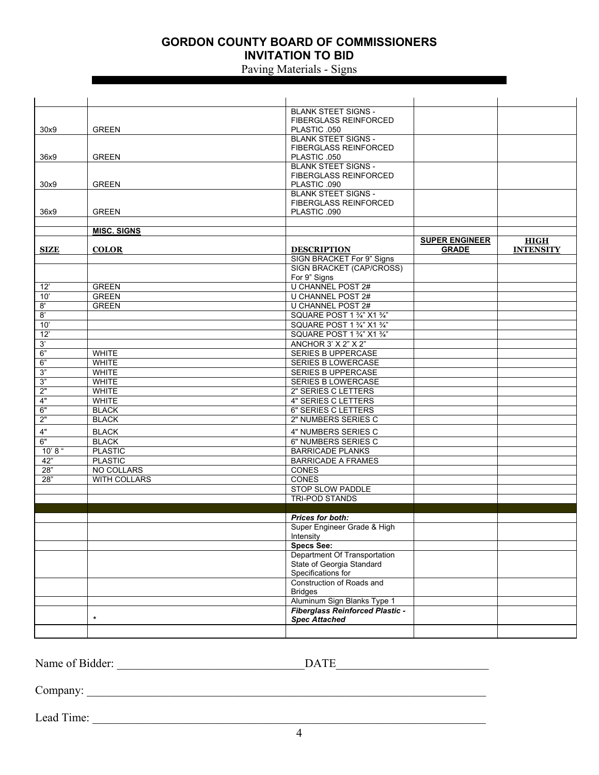### Paving Materials - Signs

|                |                     | <b>BLANK STEET SIGNS -</b>                             |                       |                  |
|----------------|---------------------|--------------------------------------------------------|-----------------------|------------------|
|                |                     | <b>FIBERGLASS REINFORCED</b>                           |                       |                  |
| 30x9           | <b>GREEN</b>        | PLASTIC .050                                           |                       |                  |
|                |                     | <b>BLANK STEET SIGNS -</b>                             |                       |                  |
|                |                     | <b>FIBERGLASS REINFORCED</b>                           |                       |                  |
| 36x9           | <b>GREEN</b>        | PLASTIC .050                                           |                       |                  |
|                |                     | <b>BLANK STEET SIGNS -</b>                             |                       |                  |
|                |                     | <b>FIBERGLASS REINFORCED</b>                           |                       |                  |
| 30x9           | <b>GREEN</b>        | PLASTIC .090                                           |                       |                  |
|                |                     | <b>BLANK STEET SIGNS -</b>                             |                       |                  |
|                |                     | <b>FIBERGLASS REINFORCED</b>                           |                       |                  |
| 36x9           | <b>GREEN</b>        | PLASTIC .090                                           |                       |                  |
|                | <b>MISC. SIGNS</b>  |                                                        |                       |                  |
|                |                     |                                                        | <b>SUPER ENGINEER</b> | <b>HIGH</b>      |
| <b>SIZE</b>    | <b>COLOR</b>        | <b>DESCRIPTION</b>                                     | <b>GRADE</b>          | <b>INTENSITY</b> |
|                |                     | SIGN BRACKET For 9" Signs                              |                       |                  |
|                |                     | SIGN BRACKET (CAP/CROSS)                               |                       |                  |
|                |                     | For 9" Signs                                           |                       |                  |
| 12'            | <b>GREEN</b>        | <b>U CHANNEL POST 2#</b>                               |                       |                  |
| 10'            | <b>GREEN</b>        | U CHANNEL POST 2#                                      |                       |                  |
| 8'             | <b>GREEN</b>        | U CHANNEL POST 2#                                      |                       |                  |
| $\overline{8}$ |                     | SQUARE POST 1 3/4" X1 3/4"                             |                       |                  |
| 10'            |                     | SQUARE POST 1 3/4" X1 3/4"                             |                       |                  |
| 12'            |                     | SQUARE POST 1 3/4" X1 3/4"                             |                       |                  |
| 3'             |                     | ANCHOR 3' X 2" X 2"                                    |                       |                  |
| 6"             | <b>WHITE</b>        | SERIES B UPPERCASE                                     |                       |                  |
| 6"             | <b>WHITE</b>        | <b>SERIES B LOWERCASE</b>                              |                       |                  |
| 3"             | <b>WHITE</b>        | <b>SERIES B UPPERCASE</b>                              |                       |                  |
| 3"             | <b>WHITE</b>        | <b>SERIES B LOWERCASE</b>                              |                       |                  |
| 2"             | <b>WHITE</b>        | 2" SERIES C LETTERS                                    |                       |                  |
| 4"             | <b>WHITE</b>        | <b>4" SERIES C LETTERS</b>                             |                       |                  |
| 6"             | <b>BLACK</b>        | 6" SERIES C LETTERS                                    |                       |                  |
| 2"             | <b>BLACK</b>        | 2" NUMBERS SERIES C                                    |                       |                  |
| $4"$           | <b>BLACK</b>        | 4" NUMBERS SERIES C                                    |                       |                  |
| 6"             | <b>BLACK</b>        | 6" NUMBERS SERIES C                                    |                       |                  |
| 10' 8''        | <b>PLASTIC</b>      | <b>BARRICADE PLANKS</b>                                |                       |                  |
| 42"            | <b>PLASTIC</b>      | <b>BARRICADE A FRAMES</b>                              |                       |                  |
| 28"            | NO COLLARS          | <b>CONES</b>                                           |                       |                  |
| 28"            | <b>WITH COLLARS</b> | <b>CONES</b>                                           |                       |                  |
|                |                     | STOP SLOW PADDLE                                       |                       |                  |
|                |                     | <b>TRI-POD STANDS</b>                                  |                       |                  |
|                |                     |                                                        |                       |                  |
|                |                     | <b>Prices for both:</b><br>Super Engineer Grade & High |                       |                  |
|                |                     | Intensity                                              |                       |                  |
|                |                     | <b>Specs See:</b>                                      |                       |                  |
|                |                     | Department Of Transportation                           |                       |                  |
|                |                     | State of Georgia Standard                              |                       |                  |
|                |                     | Specifications for                                     |                       |                  |
|                |                     | Construction of Roads and                              |                       |                  |
|                |                     | <b>Bridges</b>                                         |                       |                  |
|                |                     | Aluminum Sign Blanks Type 1                            |                       |                  |
|                |                     | <b>Fiberglass Reinforced Plastic -</b>                 |                       |                  |
|                | $\star$             | <b>Spec Attached</b>                                   |                       |                  |
|                |                     |                                                        |                       |                  |

Name of Bidder: \_\_\_\_\_\_\_\_\_\_\_\_\_\_\_\_\_\_\_\_\_\_\_\_\_\_\_\_\_\_\_\_DATE\_\_\_\_\_\_\_\_\_\_\_\_\_\_\_\_\_\_\_\_\_\_\_\_\_\_

Company: \_\_\_\_\_\_\_\_\_\_\_\_\_\_\_\_\_\_\_\_\_\_\_\_\_\_\_\_\_\_\_\_\_\_\_\_\_\_\_\_\_\_\_\_\_\_\_\_\_\_\_\_\_\_\_\_\_\_\_\_\_\_\_\_\_\_\_\_

Lead Time: \_\_\_\_\_\_\_\_\_\_\_\_\_\_\_\_\_\_\_\_\_\_\_\_\_\_\_\_\_\_\_\_\_\_\_\_\_\_\_\_\_\_\_\_\_\_\_\_\_\_\_\_\_\_\_\_\_\_\_\_\_\_\_\_\_\_\_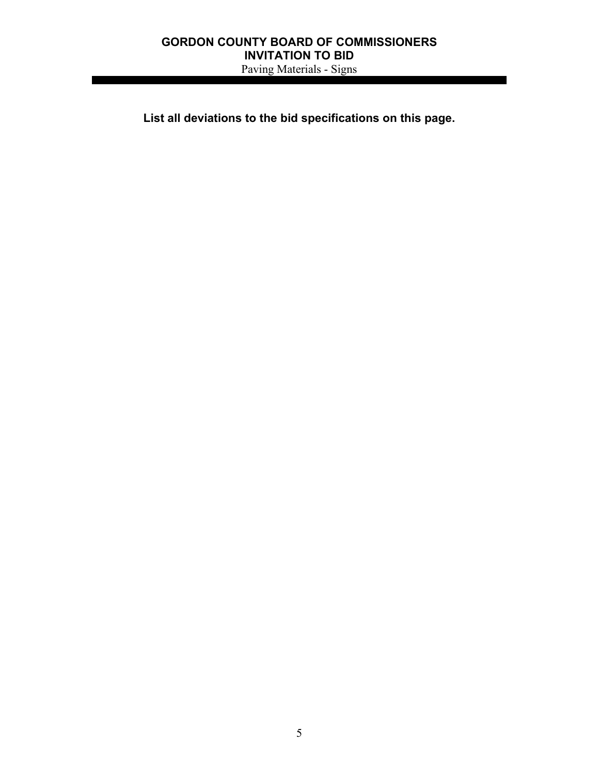### **GORDON COUNTY BOARD OF COMMISSIONERS INVITATION TO BID**  Paving Materials - Signs

**List all deviations to the bid specifications on this page.**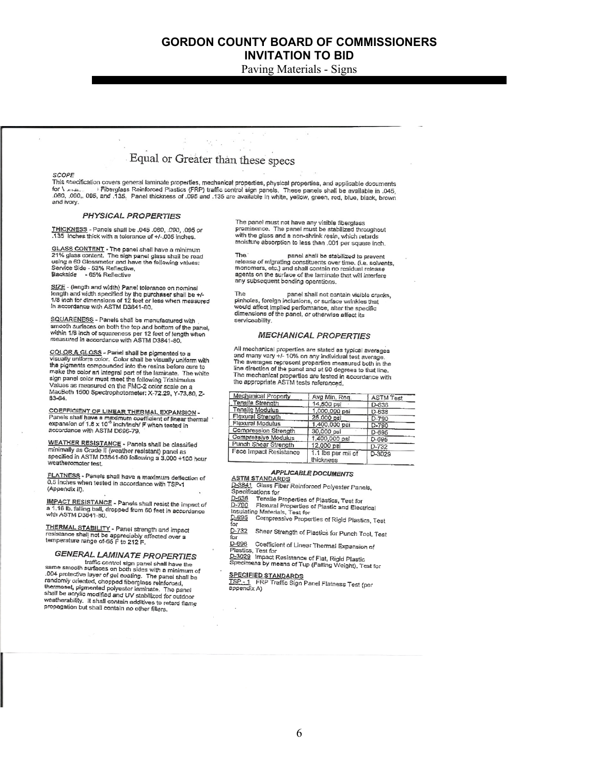Paving Materials - Signs

# Equal or Greater than these specs

#### **SCOPE**

Stor Englished final and the series of the state of the state of the state of the state of the state of the state of the state of the state of the state of the state of the state of the state of the state of the state of t and ivory.

#### **PHYSICAL PROPERTIES**

THICKNESS - Panels shall be .045 .060, .090, .095 or<br>.135 Inches thick with a tolerance of +/-.005 inches.

GLASS CONTENT - The panel shall have a minimum<br>21% glass content. The sign panel glass shall be read<br>using a 60 Glossmeter and have the following values; Service Side - 53% Reflective<br>Backside - 65% Reflective

SIZE - (length and width) Panel tolerance on nominal length and width specified by the purchaser shall be +/-<br>1/8 inch for dimensions of 12 feet or less when measured<br>in accordance with ASTM D3841-80.

SQUARENESS - Panels shall be menufactured with smooth surfaces on both the top and bottom of the panel,<br>within 1/8 inch of squareness per 12 feet of length when measured in accordance with ASTM D3841-80.

COLOR & GLOSS - Pariel shall be pigmented to a<br>visually uniform color. Color shall be visually uniform with<br>the pigments compounded into the resins before cure to<br>make the color an integral part of the resins before cure make the color an integral part of the laminate. The white sign panel color must meet the following Trishimulus<br>Values as measured on the FMC-2 color scale on a<br>MacBeth 1500 Spectrophotometer: X-72.29, Y-73.80, Z-83-64

COEFFICIENT OF LINEAR THERMAL EXPANSION -Panels shall have a maximum coafficient of linear thermal<br>expansion of 1.8 x 10<sup>-5</sup> inch/lnch/ F when tested in<br>accordance with ASTM D696-79.

WEATHER RESISTANCE - Panels shall be classified<br>minimally as Grade II (weather resistant) panel as<br>specified in ASTM D3841-80 following a 3,000 +100 hour weatheromoter test.

FLATNESS - Panels shall have a maximum deflection of<br>0.5 inches when tested in accordance with TSP-1 (Appendix II).

**IMPACT RESISTANCE - Panels shall resist the impact of** a 1.18 lb. falling ball, dropped from 60 feet in accordance

THERMAL STABILITY - Panel strength and impact<br>resistance shall not be appreciably affected over a<br>temperature range of-65 F to 212 F.

### GENERAL LAMINATE PROPERTIES

FIRE WILL LAMINATE FROFER HES<br>traffic control sign panel shall have the<br>same smooth surfaces on both sides with a minimum of same smooth surfaces on both sides with a minimum of<br>.004 protective layer of gel coating. The panel shall be<br>randomly oriented, chopped fiberglass relinforced,<br>thermosel, pigmented polyester laminate. The panel<br>shall be a orial be acrylic modified and UV stabilized for outdoor<br>weatherability. It shall contain additives to retard flame propagation but shall contain motives to re

The panel must not have any visible fiberglass prominence. The panel must be stabilized throughout<br>with the glass and a non-shrink resin, which retards moisture absorption to less than ,001 per square inch.

**The** panel shall be stabilized to prevent The passe of migrating constituents over time. (i.e. solvents,<br>release of migrating constituents over time, (i.e. solvents,<br>monomers, etc.) and shall contain no residual release<br>agents on the surface of the laminate that w any subsequent bonding operations.

The panel shall not contain visible cracks, parel shall not contain visible of<br>pinholes, foreign inclusions, or surface wrinkles that<br>would affect implied performance, alter the specific dimensions of the panel, or otherwise affect its serviceability.

#### **MECHANICAL PROPERTIES**

All mechanical properties are stated as typical averages and many vary +/- 10% on any individual test average.<br>The averages represent properties measured both in the The averages represent properties measured both in the<br>line direction of the panel and at 90 degrees to that line.<br>The mechanical properties are tested in accordance with the appropriate ASTM tests referenced.

| <b>Mechanical Property</b> | Avg Min. Rea.                         | <b>ASTM Test</b> |
|----------------------------|---------------------------------------|------------------|
| Tensile Strength           | 14,500 psi                            | D-638            |
| Tensile Modulus            | 1.000,000 psi                         | D-638            |
| Flexural Strength          | 25,000 psi                            | $D - 790$        |
| Flexural Modulus           | 1,400,000 psi                         | $D - 790$        |
| Compression Strength       | 30,000 psi                            | $D-695$          |
| Compressive Modulus        | 1,400,000 psi                         | D-695            |
| Punch Shear Strength       | 12,000 psi                            | D-732            |
| Face Impact Resistance     | 1.1 lbs per mil of<br><b>Hickogen</b> | D-3029           |

#### **APPLICABLE DOCUMENTS**

**ASTM STANDARDS**<br>2006 11 Glass Fiber Reinforced Polyester Panels,

- Specifications for
- D-638 Tensile Properties of Plastics, Test for

D-790 Flexural Properties of Plastics and Electrical<br>Insulating Materials, Test for<br>D-995 Compressive Properties of Rigid Plastics, Test

 $\overline{f}$ 

 $\frac{D-732}{f}$ Shear Strength of Plastics for Punch Tool, Test

D-696 Coefficient of Linear Thermal Expansion of

Plastics, Test for D-3029 Impact Resistance of Flat, Rigid Plastic

<u>டூக்கு</u> ாாpact Resistance of Flat, Rigid Plas<del>tic</del><br>Specimens by means of Tup (Falling Weight), Test for

SPECIFIED STANDARDS<br>TSP.-.1 FRP Traffic Sign Panel Flatness Test (per<br>appendix A)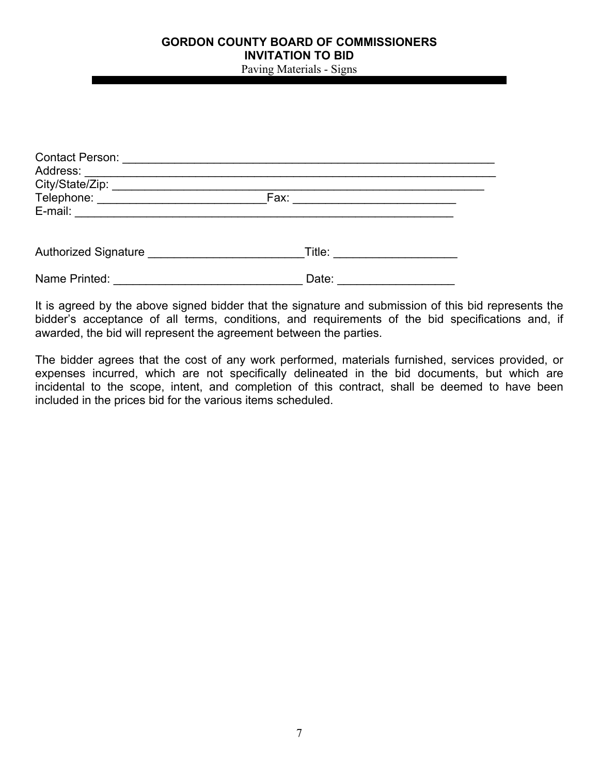Paving Materials - Signs

| Telephone: ______________________________ |       |  |  |
|-------------------------------------------|-------|--|--|
|                                           |       |  |  |
|                                           |       |  |  |
| Name Printed:                             | Date: |  |  |

It is agreed by the above signed bidder that the signature and submission of this bid represents the bidder's acceptance of all terms, conditions, and requirements of the bid specifications and, if awarded, the bid will represent the agreement between the parties.

The bidder agrees that the cost of any work performed, materials furnished, services provided, or expenses incurred, which are not specifically delineated in the bid documents, but which are incidental to the scope, intent, and completion of this contract, shall be deemed to have been included in the prices bid for the various items scheduled.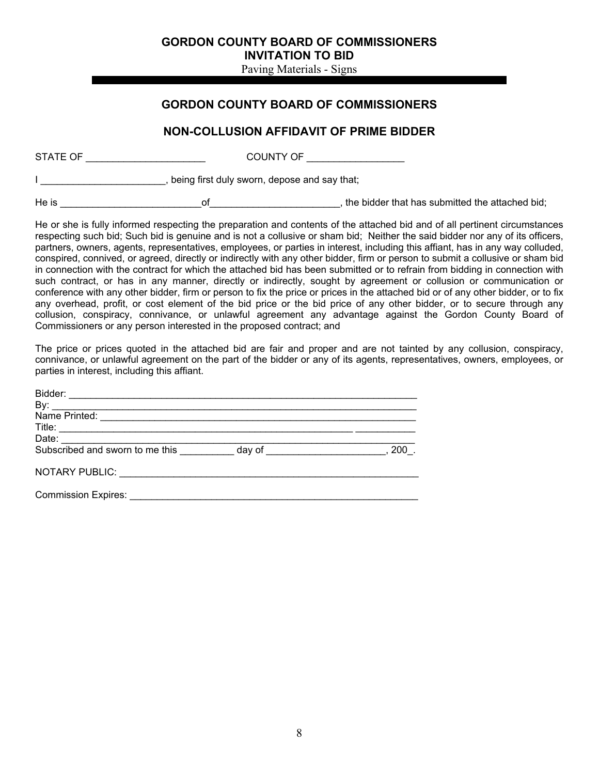Paving Materials - Signs

### **GORDON COUNTY BOARD OF COMMISSIONERS**

### **NON-COLLUSION AFFIDAVIT OF PRIME BIDDER**

| STATE OF |                                              | COUNTY OF                                       |
|----------|----------------------------------------------|-------------------------------------------------|
|          | being first duly sworn, depose and say that; |                                                 |
| He is    | ΩŤ                                           | the bidder that has submitted the attached bid; |

He or she is fully informed respecting the preparation and contents of the attached bid and of all pertinent circumstances respecting such bid; Such bid is genuine and is not a collusive or sham bid; Neither the said bidder nor any of its officers, partners, owners, agents, representatives, employees, or parties in interest, including this affiant, has in any way colluded, conspired, connived, or agreed, directly or indirectly with any other bidder, firm or person to submit a collusive or sham bid in connection with the contract for which the attached bid has been submitted or to refrain from bidding in connection with such contract, or has in any manner, directly or indirectly, sought by agreement or collusion or communication or conference with any other bidder, firm or person to fix the price or prices in the attached bid or of any other bidder, or to fix any overhead, profit, or cost element of the bid price or the bid price of any other bidder, or to secure through any collusion, conspiracy, connivance, or unlawful agreement any advantage against the Gordon County Board of Commissioners or any person interested in the proposed contract; and

The price or prices quoted in the attached bid are fair and proper and are not tainted by any collusion, conspiracy, connivance, or unlawful agreement on the part of the bidder or any of its agents, representatives, owners, employees, or parties in interest, including this affiant.

| Bidder:                                                                                                                                                                                                                        |                                                                                                                |     |
|--------------------------------------------------------------------------------------------------------------------------------------------------------------------------------------------------------------------------------|----------------------------------------------------------------------------------------------------------------|-----|
| By:                                                                                                                                                                                                                            |                                                                                                                |     |
| Name Printed: We have a state of the state of the state of the state of the state of the state of the state of the state of the state of the state of the state of the state of the state of the state of the state of the sta |                                                                                                                |     |
|                                                                                                                                                                                                                                |                                                                                                                |     |
| Date:                                                                                                                                                                                                                          |                                                                                                                |     |
| Subscribed and sworn to me this                                                                                                                                                                                                | day of the control of the control of the control of the control of the control of the control of the control o | 200 |
| NOTARY PUBLIC: University                                                                                                                                                                                                      |                                                                                                                |     |

Commission Expires: \_\_\_\_\_\_\_\_\_\_\_\_\_\_\_\_\_\_\_\_\_\_\_\_\_\_\_\_\_\_\_\_\_\_\_\_\_\_\_\_\_\_\_\_\_\_\_\_\_\_\_\_\_